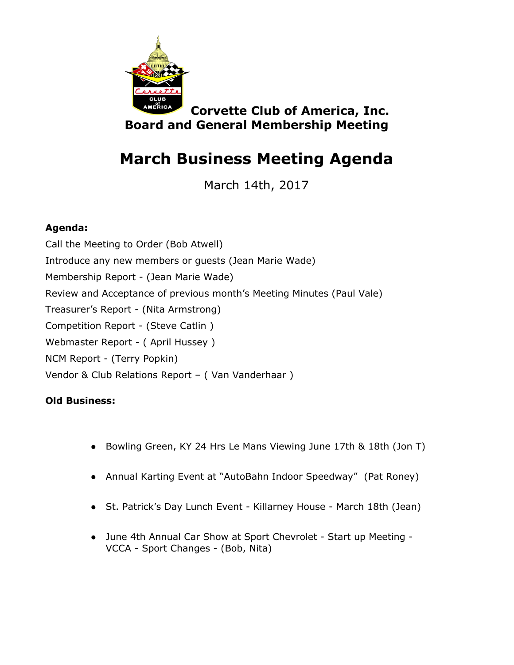

**Corvette Club of America, Inc. Board and General Membership Meeting**

## **March Business Meeting Agenda**

March 14th, 2017

## **Agenda:**

Call the Meeting to Order (Bob Atwell) Introduce any new members or guests (Jean Marie Wade) Membership Report - (Jean Marie Wade) Review and Acceptance of previous month's Meeting Minutes (Paul Vale) Treasurer's Report - (Nita Armstrong) Competition Report - (Steve Catlin ) Webmaster Report - ( April Hussey ) NCM Report - (Terry Popkin) Vendor & Club Relations Report – ( Van Vanderhaar )

## **Old Business:**

- Bowling Green, KY 24 Hrs Le Mans Viewing June 17th & 18th (Jon T)
- Annual Karting Event at "AutoBahn Indoor Speedway" (Pat Roney)
- St. Patrick's Day Lunch Event Killarney House March 18th (Jean)
- June 4th Annual Car Show at Sport Chevrolet Start up Meeting VCCA - Sport Changes - (Bob, Nita)